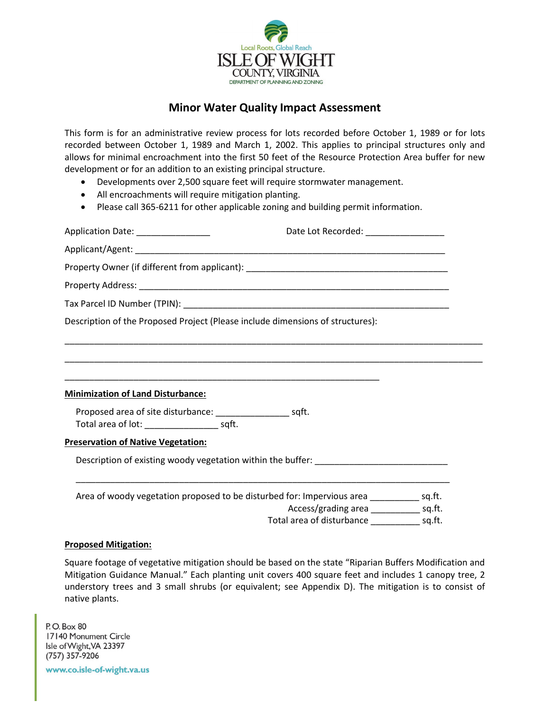

## **Minor Water Quality Impact Assessment**

This form is for an administrative review process for lots recorded before October 1, 1989 or for lots recorded between October 1, 1989 and March 1, 2002. This applies to principal structures only and allows for minimal encroachment into the first 50 feet of the Resource Protection Area buffer for new development or for an addition to an existing principal structure.

- Developments over 2,500 square feet will require stormwater management.
- All encroachments will require mitigation planting.
- Please call 365-6211 for other applicable zoning and building permit information.

| Application Date: _______________                                                        | Date Lot Recorded: ___________________                                                                               |  |
|------------------------------------------------------------------------------------------|----------------------------------------------------------------------------------------------------------------------|--|
|                                                                                          |                                                                                                                      |  |
|                                                                                          |                                                                                                                      |  |
|                                                                                          |                                                                                                                      |  |
|                                                                                          |                                                                                                                      |  |
| Description of the Proposed Project (Please include dimensions of structures):           |                                                                                                                      |  |
|                                                                                          |                                                                                                                      |  |
| <b>Minimization of Land Disturbance:</b>                                                 |                                                                                                                      |  |
| Total area of lot: _________________________ sqft.                                       |                                                                                                                      |  |
| <b>Preservation of Native Vegetation:</b>                                                |                                                                                                                      |  |
| Description of existing woody vegetation within the buffer: _____________________        |                                                                                                                      |  |
| Area of woody vegetation proposed to be disturbed for: Impervious area __________ sq.ft. | <u> 1980 - Johann Stoff, amerikan bestein de stad in de stad in de stad in de stad in de stad in de stad in de s</u> |  |
|                                                                                          | Access/grading area ______________ sq.ft.                                                                            |  |
|                                                                                          | Total area of disturbance _______________ sq.ft.                                                                     |  |

## **Proposed Mitigation:**

Square footage of vegetative mitigation should be based on the state "Riparian Buffers Modification and Mitigation Guidance Manual." Each planting unit covers 400 square feet and includes 1 canopy tree, 2 understory trees and 3 small shrubs (or equivalent; see Appendix D). The mitigation is to consist of native plants.

P.O. Box 80 17140 Monument Circle Isle of Wight, VA 23397 (757) 357-9206

www.co.isle-of-wight.va.us